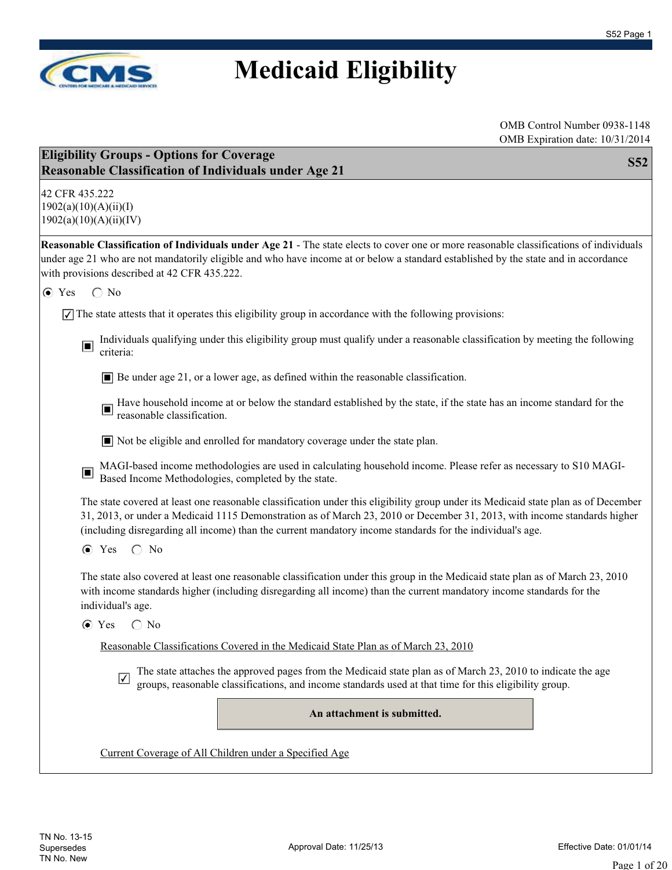

| $510711$ Expiration date: 10/51/201-<br><b>Eligibility Groups - Options for Coverage</b><br><b>S52</b><br><b>Reasonable Classification of Individuals under Age 21</b>                                                                                                                                                                                                      |
|-----------------------------------------------------------------------------------------------------------------------------------------------------------------------------------------------------------------------------------------------------------------------------------------------------------------------------------------------------------------------------|
| 42 CFR 435.222<br>1902(a)(10)(A)(ii)(I)<br>1902(a)(10)(A)(ii)(IV)                                                                                                                                                                                                                                                                                                           |
| Reasonable Classification of Individuals under Age 21 - The state elects to cover one or more reasonable classifications of individuals<br>under age 21 who are not mandatorily eligible and who have income at or below a standard established by the state and in accordance<br>with provisions described at 42 CFR 435.222.                                              |
| $\bigcirc$ No<br>$\odot$ Yes                                                                                                                                                                                                                                                                                                                                                |
| $\sqrt{\ }$ The state attests that it operates this eligibility group in accordance with the following provisions:                                                                                                                                                                                                                                                          |
| Individuals qualifying under this eligibility group must qualify under a reasonable classification by meeting the following<br>$\Box$<br>criteria:                                                                                                                                                                                                                          |
| $\blacksquare$ Be under age 21, or a lower age, as defined within the reasonable classification.                                                                                                                                                                                                                                                                            |
| Have household income at or below the standard established by the state, if the state has an income standard for the reasonable classification.                                                                                                                                                                                                                             |
| ■ Not be eligible and enrolled for mandatory coverage under the state plan.                                                                                                                                                                                                                                                                                                 |
| MAGI-based income methodologies are used in calculating household income. Please refer as necessary to S10 MAGI-Based Income Methodologies, completed by the state.<br>$\Box$                                                                                                                                                                                               |
| The state covered at least one reasonable classification under this eligibility group under its Medicaid state plan as of December<br>31, 2013, or under a Medicaid 1115 Demonstration as of March 23, 2010 or December 31, 2013, with income standards higher<br>(including disregarding all income) than the current mandatory income standards for the individual's age. |
| $\odot$ Yes $\odot$ No                                                                                                                                                                                                                                                                                                                                                      |
| The state also covered at least one reasonable classification under this group in the Medicaid state plan as of March 23, 2010<br>with income standards higher (including disregarding all income) than the current mandatory income standards for the<br>individual's age.                                                                                                 |
| $\bigcirc$ No<br>$\odot$ Yes                                                                                                                                                                                                                                                                                                                                                |
| Reasonable Classifications Covered in the Medicaid State Plan as of March 23, 2010                                                                                                                                                                                                                                                                                          |
| The state attaches the approved pages from the Medicaid state plan as of March 23, 2010 to indicate the age<br>$\sqrt{}$<br>groups, reasonable classifications, and income standards used at that time for this eligibility group.                                                                                                                                          |
| An attachment is submitted.                                                                                                                                                                                                                                                                                                                                                 |
| Current Coverage of All Children under a Specified Age                                                                                                                                                                                                                                                                                                                      |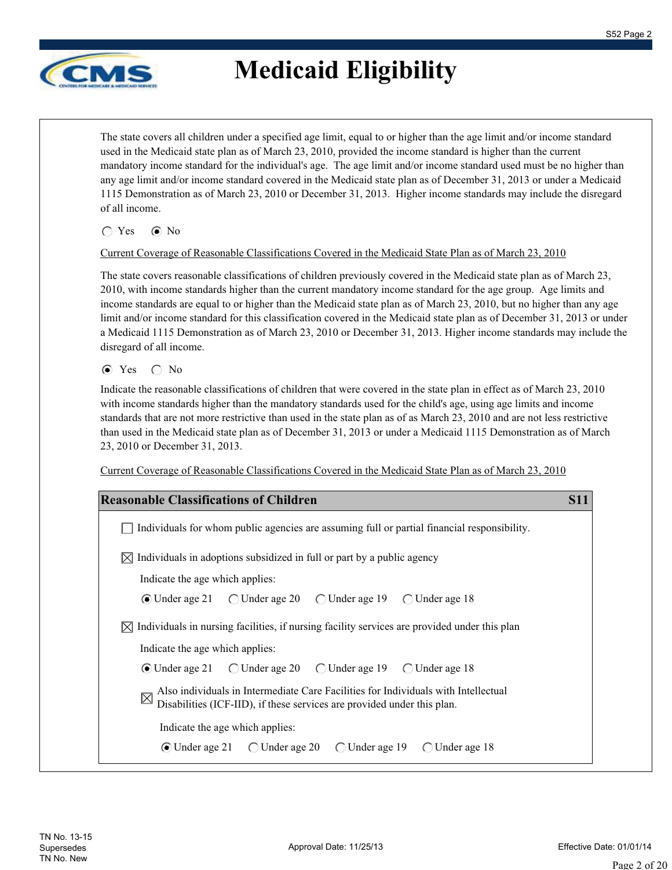

The state covers all children under a specified age limit, equal to or higher than the age limit and/or income standard used in the Medicaid state plan as of March 23, 2010, provided the income standard is higher than the current mandatory income standard for the individual's age. The age limit and/or income standard used must be no higher than any age limit and/or income standard covered in the Medicaid state plan as of December 31, 2013 or under a Medicaid 1115 Demonstration as of March 23, 2010 or December 31, 2013. Higher income standards may include the disregard of all income.

 $\bigcap$  Yes  $\bigcirc$  No

#### Current Coverage of Reasonable Classifications Covered in the Medicaid State Plan as of March 23, 2010

The state covers reasonable classifications of children previously covered in the Medicaid state plan as of March 23, 2010, with income standards higher than the current mandatory income standard for the age group. Age limits and income standards are equal to or higher than the Medicaid state plan as of March 23, 2010, but no higher than any age limit and/or income standard for this classification covered in the Medicaid state plan as of December 31, 2013 or under a Medicaid 1115 Demonstration as of March 23, 2010 or December 31, 2013. Higher income standards may include the disregard of all income.

 $\odot$  Yes  $\odot$  No

Indicate the reasonable classifications of children that were covered in the state plan in effect as of March 23, 2010 with income standards higher than the mandatory standards used for the child's age, using age limits and income standards that are not more restrictive than used in the state plan as of as March 23, 2010 and are not less restrictive than used in the Medicaid state plan as of December 31, 2013 or under a Medicaid 1115 Demonstration as of March 23, 2010 or December 31, 2013.

Current Coverage of Reasonable Classifications Covered in the Medicaid State Plan as of March 23, 2010

| <b>Reasonable Classifications of Children</b>                                                                                                                                             | S11 |
|-------------------------------------------------------------------------------------------------------------------------------------------------------------------------------------------|-----|
| Individuals for whom public agencies are assuming full or partial financial responsibility.                                                                                               |     |
| Individuals in adoptions subsidized in full or part by a public agency                                                                                                                    |     |
| Indicate the age which applies:                                                                                                                                                           |     |
|                                                                                                                                                                                           |     |
| Individuals in nursing facilities, if nursing facility services are provided under this plan<br>IX                                                                                        |     |
| Indicate the age which applies:                                                                                                                                                           |     |
|                                                                                                                                                                                           |     |
| Also individuals in Intermediate Care Facilities for Individuals with Intellectual Displatities (ICF III) 12.1<br>Disabilities (ICF-IID), if these services are provided under this plan. |     |
| Indicate the age which applies:                                                                                                                                                           |     |
|                                                                                                                                                                                           |     |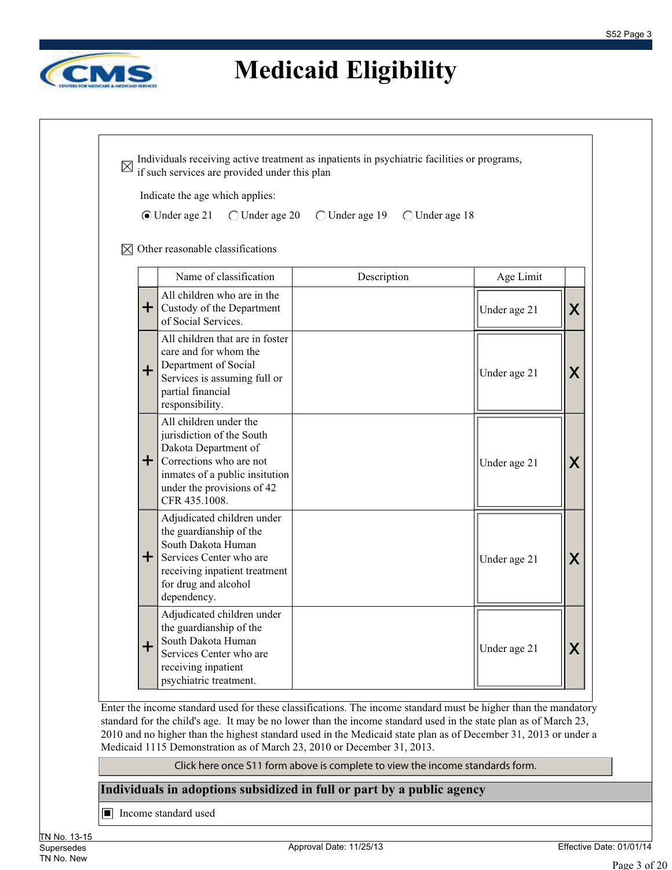

Individuals receiving active treatment as inpatients in psychiatric facilities or programs,  $\boxtimes$ if such services are provided under this plan Indicate the age which applies: Under age 21 Under age 20 Under age 19 Under age 18  $\boxtimes$  Other reasonable classifications Name of classification <br> Description <br> Age Limit All children who are in the + Custody of the Department Under age 21  $\mid \mid \mid \mid$   $\mid$ of Social Services. All children that are in foster care and for whom the Department of Social + Under age 21  $\vert \mathbf{X} \vert$ Services is assuming full or partial financial responsibility. All children under the jurisdiction of the South Dakota Department of + Corrections who are not Under age 21  $\parallel$  **X** inmates of a public insitution under the provisions of 42 CFR 435.1008. Adjudicated children under the guardianship of the South Dakota Human + Services Center who are Under age 21  $\vert \mathbf{X} \vert$ receiving inpatient treatment for drug and alcohol dependency. Adjudicated children under the guardianship of the South Dakota Human + Under age 21  $\|\mathsf{X}\|$ Services Center who are receiving inpatient psychiatric treatment.

Enter the income standard used for these classifications. The income standard must be higher than the mandatory standard for the child's age. It may be no lower than the income standard used in the state plan as of March 23, 2010 and no higher than the highest standard used in the Medicaid state plan as of December 31, 2013 or under a Medicaid 1115 Demonstration as of March 23, 2010 or December 31, 2013.

Click here once S11 form above is complete to view the income standards form.

#### **Individuals in adoptions subsidized in full or part by a public agency**

■ Income standard used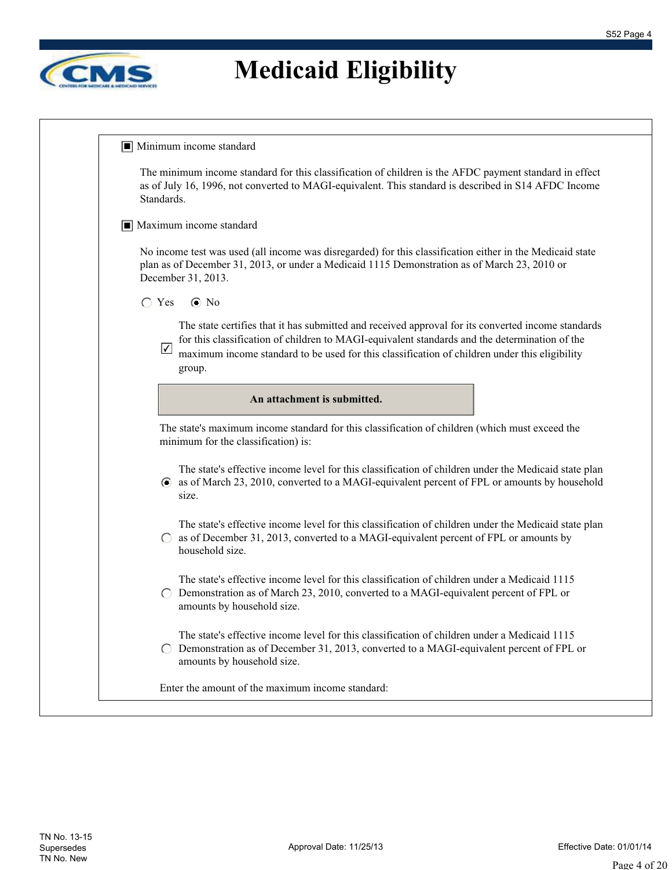

| The minimum income standard for this classification of children is the AFDC payment standard in effect<br>as of July 16, 1996, not converted to MAGI-equivalent. This standard is described in S14 AFDC Income<br>Standards.                                                                                                |
|-----------------------------------------------------------------------------------------------------------------------------------------------------------------------------------------------------------------------------------------------------------------------------------------------------------------------------|
| $\boxed{\blacksquare}$ Maximum income standard                                                                                                                                                                                                                                                                              |
| No income test was used (all income was disregarded) for this classification either in the Medicaid state<br>plan as of December 31, 2013, or under a Medicaid 1115 Demonstration as of March 23, 2010 or<br>December 31, 2013.                                                                                             |
| $\bigcap$ Yes<br>$\odot$ No                                                                                                                                                                                                                                                                                                 |
| The state certifies that it has submitted and received approval for its converted income standards<br>for this classification of children to MAGI-equivalent standards and the determination of the<br>$\sqrt{}$<br>maximum income standard to be used for this classification of children under this eligibility<br>group. |
| An attachment is submitted.                                                                                                                                                                                                                                                                                                 |
| The state's maximum income standard for this classification of children (which must exceed the<br>minimum for the classification) is:                                                                                                                                                                                       |
| The state's effective income level for this classification of children under the Medicaid state plan<br>• as of March 23, 2010, converted to a MAGI-equivalent percent of FPL or amounts by household<br>size.                                                                                                              |
|                                                                                                                                                                                                                                                                                                                             |
| The state's effective income level for this classification of children under the Medicaid state plan<br>as of December 31, 2013, converted to a MAGI-equivalent percent of FPL or amounts by<br>household size.                                                                                                             |
| The state's effective income level for this classification of children under a Medicaid 1115<br>Demonstration as of March 23, 2010, converted to a MAGI-equivalent percent of FPL or<br>amounts by household size.                                                                                                          |
| The state's effective income level for this classification of children under a Medicaid 1115<br>Demonstration as of December 31, 2013, converted to a MAGI-equivalent percent of FPL or<br>amounts by household size.                                                                                                       |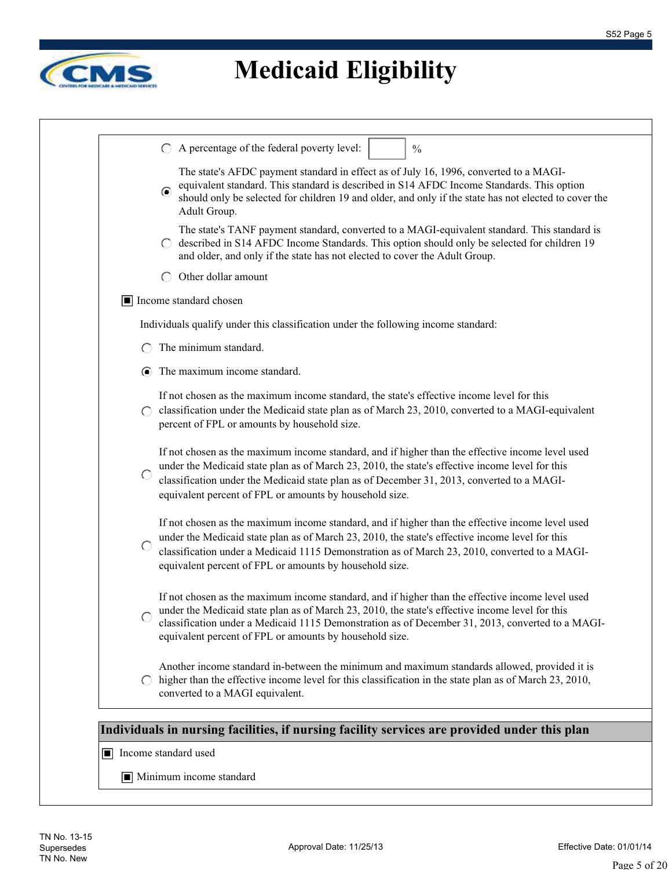

| equivalent standard. This standard is described in S14 AFDC Income Standards. This option<br>$\odot$<br>should only be selected for children 19 and older, and only if the state has not elected to cover the<br>Adult Group.<br>The state's TANF payment standard, converted to a MAGI-equivalent standard. This standard is<br>described in S14 AFDC Income Standards. This option should only be selected for children 19<br>and older, and only if the state has not elected to cover the Adult Group.<br>Other dollar amount<br>$\left( \right)$<br>Income standard chosen<br>Individuals qualify under this classification under the following income standard:<br>The minimum standard.<br>The maximum income standard.<br>$\bullet$<br>If not chosen as the maximum income standard, the state's effective income level for this<br>classification under the Medicaid state plan as of March 23, 2010, converted to a MAGI-equivalent<br>$\left( \right)$<br>percent of FPL or amounts by household size.<br>If not chosen as the maximum income standard, and if higher than the effective income level used<br>under the Medicaid state plan as of March 23, 2010, the state's effective income level for this<br>$\bigcirc$<br>classification under the Medicaid state plan as of December 31, 2013, converted to a MAGI-<br>equivalent percent of FPL or amounts by household size.<br>If not chosen as the maximum income standard, and if higher than the effective income level used<br>under the Medicaid state plan as of March 23, 2010, the state's effective income level for this<br>◯<br>classification under a Medicaid 1115 Demonstration as of March 23, 2010, converted to a MAGI-<br>equivalent percent of FPL or amounts by household size. |
|-------------------------------------------------------------------------------------------------------------------------------------------------------------------------------------------------------------------------------------------------------------------------------------------------------------------------------------------------------------------------------------------------------------------------------------------------------------------------------------------------------------------------------------------------------------------------------------------------------------------------------------------------------------------------------------------------------------------------------------------------------------------------------------------------------------------------------------------------------------------------------------------------------------------------------------------------------------------------------------------------------------------------------------------------------------------------------------------------------------------------------------------------------------------------------------------------------------------------------------------------------------------------------------------------------------------------------------------------------------------------------------------------------------------------------------------------------------------------------------------------------------------------------------------------------------------------------------------------------------------------------------------------------------------------------------------------------------------------------------------------------------------------|
|                                                                                                                                                                                                                                                                                                                                                                                                                                                                                                                                                                                                                                                                                                                                                                                                                                                                                                                                                                                                                                                                                                                                                                                                                                                                                                                                                                                                                                                                                                                                                                                                                                                                                                                                                                         |
|                                                                                                                                                                                                                                                                                                                                                                                                                                                                                                                                                                                                                                                                                                                                                                                                                                                                                                                                                                                                                                                                                                                                                                                                                                                                                                                                                                                                                                                                                                                                                                                                                                                                                                                                                                         |
|                                                                                                                                                                                                                                                                                                                                                                                                                                                                                                                                                                                                                                                                                                                                                                                                                                                                                                                                                                                                                                                                                                                                                                                                                                                                                                                                                                                                                                                                                                                                                                                                                                                                                                                                                                         |
|                                                                                                                                                                                                                                                                                                                                                                                                                                                                                                                                                                                                                                                                                                                                                                                                                                                                                                                                                                                                                                                                                                                                                                                                                                                                                                                                                                                                                                                                                                                                                                                                                                                                                                                                                                         |
|                                                                                                                                                                                                                                                                                                                                                                                                                                                                                                                                                                                                                                                                                                                                                                                                                                                                                                                                                                                                                                                                                                                                                                                                                                                                                                                                                                                                                                                                                                                                                                                                                                                                                                                                                                         |
|                                                                                                                                                                                                                                                                                                                                                                                                                                                                                                                                                                                                                                                                                                                                                                                                                                                                                                                                                                                                                                                                                                                                                                                                                                                                                                                                                                                                                                                                                                                                                                                                                                                                                                                                                                         |
|                                                                                                                                                                                                                                                                                                                                                                                                                                                                                                                                                                                                                                                                                                                                                                                                                                                                                                                                                                                                                                                                                                                                                                                                                                                                                                                                                                                                                                                                                                                                                                                                                                                                                                                                                                         |
|                                                                                                                                                                                                                                                                                                                                                                                                                                                                                                                                                                                                                                                                                                                                                                                                                                                                                                                                                                                                                                                                                                                                                                                                                                                                                                                                                                                                                                                                                                                                                                                                                                                                                                                                                                         |
|                                                                                                                                                                                                                                                                                                                                                                                                                                                                                                                                                                                                                                                                                                                                                                                                                                                                                                                                                                                                                                                                                                                                                                                                                                                                                                                                                                                                                                                                                                                                                                                                                                                                                                                                                                         |
|                                                                                                                                                                                                                                                                                                                                                                                                                                                                                                                                                                                                                                                                                                                                                                                                                                                                                                                                                                                                                                                                                                                                                                                                                                                                                                                                                                                                                                                                                                                                                                                                                                                                                                                                                                         |
| If not chosen as the maximum income standard, and if higher than the effective income level used<br>under the Medicaid state plan as of March 23, 2010, the state's effective income level for this<br>classification under a Medicaid 1115 Demonstration as of December 31, 2013, converted to a MAGI-<br>equivalent percent of FPL or amounts by household size.                                                                                                                                                                                                                                                                                                                                                                                                                                                                                                                                                                                                                                                                                                                                                                                                                                                                                                                                                                                                                                                                                                                                                                                                                                                                                                                                                                                                      |
| Another income standard in-between the minimum and maximum standards allowed, provided it is<br>higher than the effective income level for this classification in the state plan as of March 23, 2010,<br>$\left( \begin{array}{c} \end{array} \right)$<br>converted to a MAGI equivalent.                                                                                                                                                                                                                                                                                                                                                                                                                                                                                                                                                                                                                                                                                                                                                                                                                                                                                                                                                                                                                                                                                                                                                                                                                                                                                                                                                                                                                                                                              |
|                                                                                                                                                                                                                                                                                                                                                                                                                                                                                                                                                                                                                                                                                                                                                                                                                                                                                                                                                                                                                                                                                                                                                                                                                                                                                                                                                                                                                                                                                                                                                                                                                                                                                                                                                                         |
| Individuals in nursing facilities, if nursing facility services are provided under this plan                                                                                                                                                                                                                                                                                                                                                                                                                                                                                                                                                                                                                                                                                                                                                                                                                                                                                                                                                                                                                                                                                                                                                                                                                                                                                                                                                                                                                                                                                                                                                                                                                                                                            |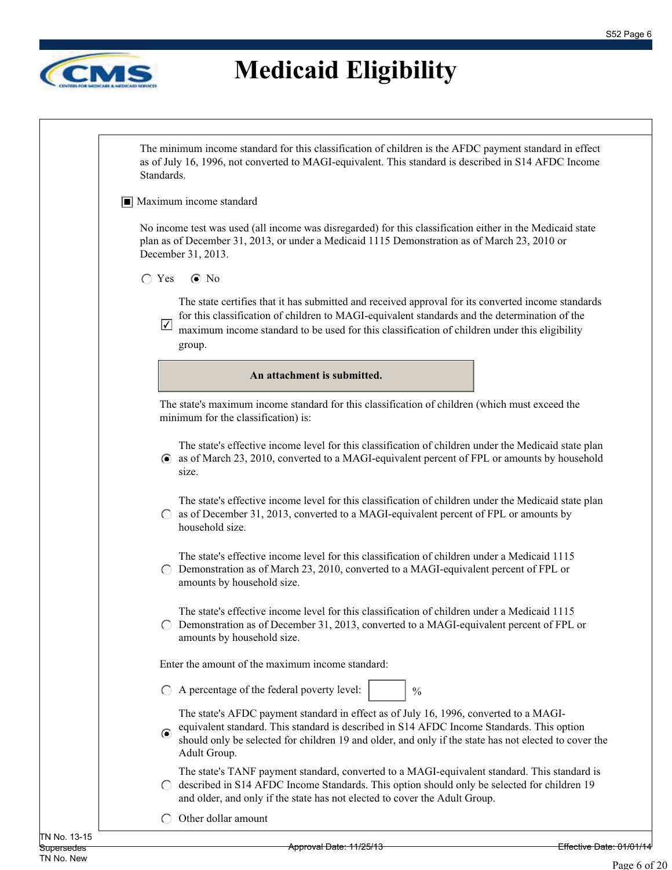

The minimum income standard for this classification of children is the AFDC payment standard in effect as of July 16, 1996, not converted to MAGI-equivalent. This standard is described in S14 AFDC Income Standards.

#### ■ Maximum income standard

No income test was used (all income was disregarded) for this classification either in the Medicaid state plan as of December 31, 2013, or under a Medicaid 1115 Demonstration as of March 23, 2010 or December 31, 2013.

#### $\bigcap$  Yes  $\bigcirc$  No

The state certifies that it has submitted and received approval for its converted income standards for this classification of children to MAGI-equivalent standards and the determination of the

maximum income standard to be used for this classification of children under this eligibility group. ✔

**An attachment is submitted.**

The state's maximum income standard for this classification of children (which must exceed the minimum for the classification) is:

The state's effective income level for this classification of children under the Medicaid state plan as of March 23, 2010, converted to a MAGI-equivalent percent of FPL or amounts by household size.

The state's effective income level for this classification of children under the Medicaid state plan  $\circ$  as of December 31, 2013, converted to a MAGI-equivalent percent of FPL or amounts by household size.

The state's effective income level for this classification of children under a Medicaid 1115  $\bigcirc$  Demonstration as of March 23, 2010, converted to a MAGI-equivalent percent of FPL or amounts by household size.

The state's effective income level for this classification of children under a Medicaid 1115  $\circ$  Demonstration as of December 31, 2013, converted to a MAGI-equivalent percent of FPL or amounts by household size.

Enter the amount of the maximum income standard:

 $\bigcirc$  A percentage of the federal poverty level:

The state's AFDC payment standard in effect as of July 16, 1996, converted to a MAGIequivalent standard. This standard is described in S14 AFDC Income Standards. This option

 $\odot$ should only be selected for children 19 and older, and only if the state has not elected to cover the Adult Group.

 $\frac{0}{0}$ 

The state's TANF payment standard, converted to a MAGI-equivalent standard. This standard is  $\bigcirc$  described in S14 AFDC Income Standards. This option should only be selected for children 19 and older, and only if the state has not elected to cover the Adult Group.

 $\bigcap$  Other dollar amount

Approval Date: 11/25/13 Effective Date: 01/01/14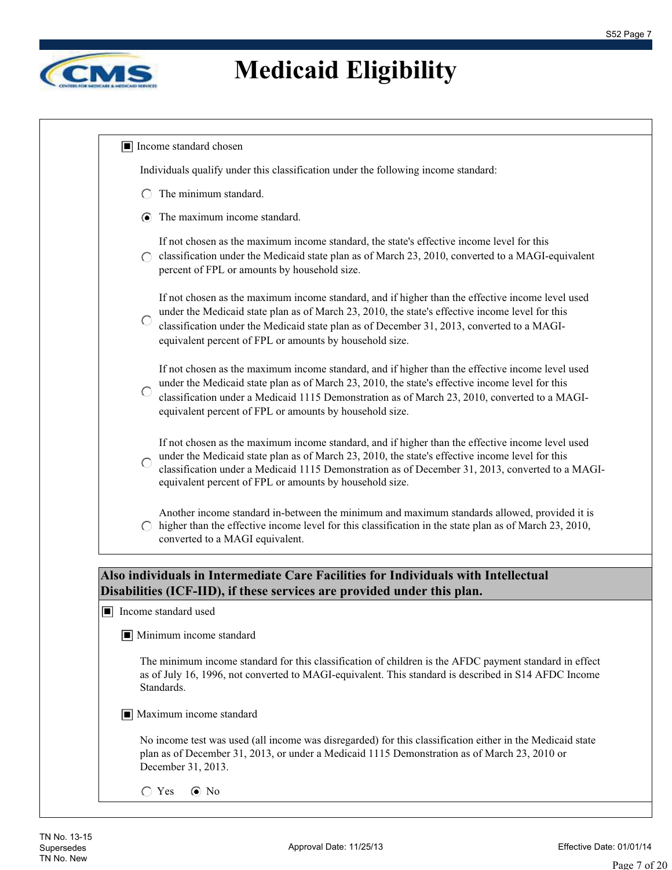

|                  | Individuals qualify under this classification under the following income standard:                                                                                                                                                                                                                                                                                 |
|------------------|--------------------------------------------------------------------------------------------------------------------------------------------------------------------------------------------------------------------------------------------------------------------------------------------------------------------------------------------------------------------|
|                  | The minimum standard.                                                                                                                                                                                                                                                                                                                                              |
| $\odot$          | The maximum income standard.                                                                                                                                                                                                                                                                                                                                       |
|                  | If not chosen as the maximum income standard, the state's effective income level for this<br>classification under the Medicaid state plan as of March 23, 2010, converted to a MAGI-equivalent<br>percent of FPL or amounts by household size.                                                                                                                     |
|                  | If not chosen as the maximum income standard, and if higher than the effective income level used<br>under the Medicaid state plan as of March 23, 2010, the state's effective income level for this<br>classification under the Medicaid state plan as of December 31, 2013, converted to a MAGI-<br>equivalent percent of FPL or amounts by household size.       |
| $\bigcirc$       | If not chosen as the maximum income standard, and if higher than the effective income level used<br>under the Medicaid state plan as of March 23, 2010, the state's effective income level for this<br>classification under a Medicaid 1115 Demonstration as of March 23, 2010, converted to a MAGI-<br>equivalent percent of FPL or amounts by household size.    |
|                  | If not chosen as the maximum income standard, and if higher than the effective income level used<br>under the Medicaid state plan as of March 23, 2010, the state's effective income level for this<br>classification under a Medicaid 1115 Demonstration as of December 31, 2013, converted to a MAGI-<br>equivalent percent of FPL or amounts by household size. |
| $\left( \right)$ | Another income standard in-between the minimum and maximum standards allowed, provided it is<br>higher than the effective income level for this classification in the state plan as of March 23, 2010,<br>converted to a MAGI equivalent.                                                                                                                          |
|                  | Also individuals in Intermediate Care Facilities for Individuals with Intellectual<br>Disabilities (ICF-IID), if these services are provided under this plan.<br>$\blacksquare$ Income standard used                                                                                                                                                               |
|                  | $\boxed{\blacksquare}$ Minimum income standard                                                                                                                                                                                                                                                                                                                     |
|                  | The minimum income standard for this classification of children is the AFDC payment standard in effect<br>as of July 16, 1996, not converted to MAGI-equivalent. This standard is described in S14 AFDC Income<br>Standards.                                                                                                                                       |
|                  | $\blacksquare$ Maximum income standard                                                                                                                                                                                                                                                                                                                             |
|                  | No income test was used (all income was disregarded) for this classification either in the Medicaid state<br>plan as of December 31, 2013, or under a Medicaid 1115 Demonstration as of March 23, 2010 or<br>December 31, 2013.                                                                                                                                    |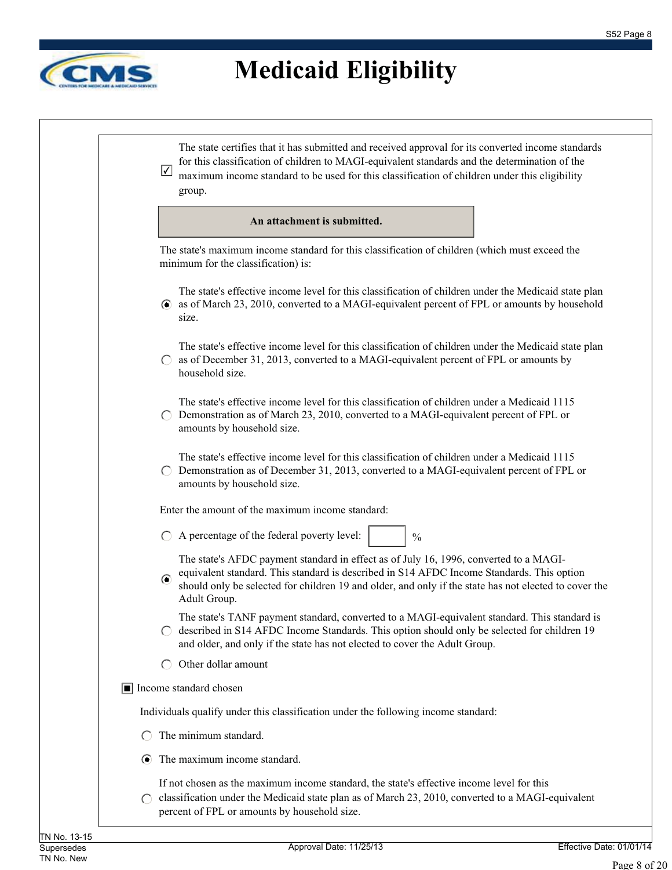

| $\sqrt{}$                                     | The state certifies that it has submitted and received approval for its converted income standards<br>for this classification of children to MAGI-equivalent standards and the determination of the<br>maximum income standard to be used for this classification of children under this eligibility<br>group. |
|-----------------------------------------------|----------------------------------------------------------------------------------------------------------------------------------------------------------------------------------------------------------------------------------------------------------------------------------------------------------------|
|                                               | An attachment is submitted.                                                                                                                                                                                                                                                                                    |
|                                               | The state's maximum income standard for this classification of children (which must exceed the<br>minimum for the classification) is:                                                                                                                                                                          |
| $\left( \bullet \right)$                      | The state's effective income level for this classification of children under the Medicaid state plan<br>as of March 23, 2010, converted to a MAGI-equivalent percent of FPL or amounts by household<br>size.                                                                                                   |
| $\left( \begin{array}{c} \end{array} \right)$ | The state's effective income level for this classification of children under the Medicaid state plan<br>as of December 31, 2013, converted to a MAGI-equivalent percent of FPL or amounts by<br>household size.                                                                                                |
|                                               | The state's effective income level for this classification of children under a Medicaid 1115<br>Demonstration as of March 23, 2010, converted to a MAGI-equivalent percent of FPL or<br>amounts by household size.                                                                                             |
|                                               | The state's effective income level for this classification of children under a Medicaid 1115<br>Demonstration as of December 31, 2013, converted to a MAGI-equivalent percent of FPL or<br>amounts by household size.                                                                                          |
|                                               | Enter the amount of the maximum income standard:                                                                                                                                                                                                                                                               |
|                                               | A percentage of the federal poverty level:<br>$\frac{0}{0}$                                                                                                                                                                                                                                                    |
| $\odot$                                       | The state's AFDC payment standard in effect as of July 16, 1996, converted to a MAGI-<br>equivalent standard. This standard is described in S14 AFDC Income Standards. This option<br>should only be selected for children 19 and older, and only if the state has not elected to cover the<br>Adult Group.    |
|                                               | The state's TANF payment standard, converted to a MAGI-equivalent standard. This standard is<br>described in S14 AFDC Income Standards. This option should only be selected for children 19<br>and older, and only if the state has not elected to cover the Adult Group.                                      |
| $\left( \begin{array}{c} \end{array} \right)$ | Other dollar amount                                                                                                                                                                                                                                                                                            |
|                                               | $\boxed{\blacksquare}$ Income standard chosen                                                                                                                                                                                                                                                                  |
|                                               | Individuals qualify under this classification under the following income standard:                                                                                                                                                                                                                             |
|                                               | The minimum standard.                                                                                                                                                                                                                                                                                          |
|                                               | The maximum income standard.                                                                                                                                                                                                                                                                                   |
|                                               | If not chosen as the maximum income standard, the state's effective income level for this<br>classification under the Medicaid state plan as of March 23, 2010, converted to a MAGI-equivalent<br>percent of FPL or amounts by household size.                                                                 |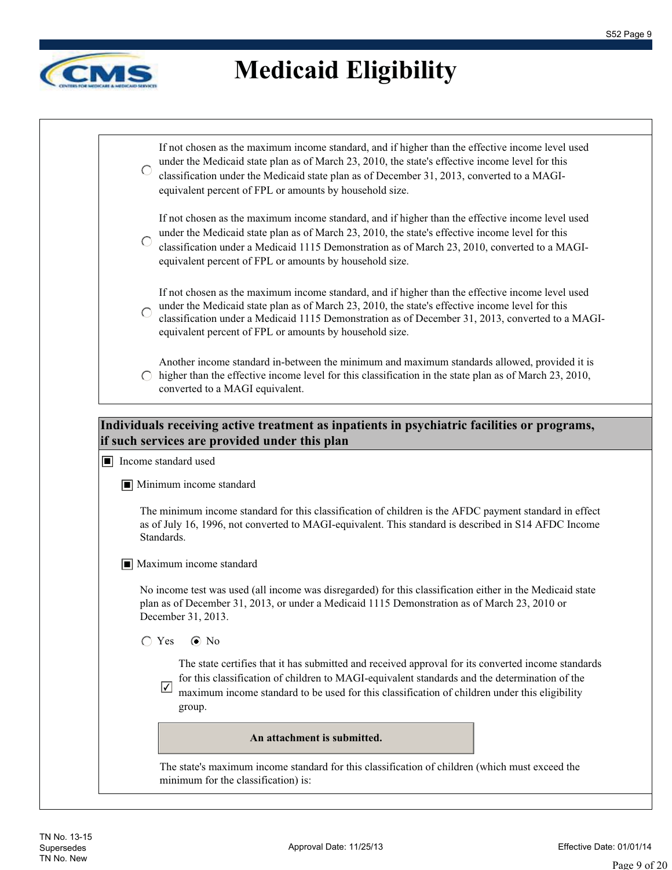

|            | $\Box$ Income standard used<br>$\blacksquare$ Minimum income standard<br>Standards.<br>$\boxed{\blacksquare}$ Maximum income standard<br>No income test was used (all income was disregarded) for this classification either in the Medicaid state<br>plan as of December 31, 2013, or under a Medicaid 1115 Demonstration as of March 23, 2010 or<br>December 31, 2013.<br>$\bigcirc$ Yes<br>$\odot$ No<br>The state certifies that it has submitted and received approval for its converted income standards<br>for this classification of children to MAGI-equivalent standards and the determination of the<br>$\sqrt{}$<br>maximum income standard to be used for this classification of children under this eligibility<br>group. |
|------------|-----------------------------------------------------------------------------------------------------------------------------------------------------------------------------------------------------------------------------------------------------------------------------------------------------------------------------------------------------------------------------------------------------------------------------------------------------------------------------------------------------------------------------------------------------------------------------------------------------------------------------------------------------------------------------------------------------------------------------------------|
|            |                                                                                                                                                                                                                                                                                                                                                                                                                                                                                                                                                                                                                                                                                                                                         |
|            | The minimum income standard for this classification of children is the AFDC payment standard in effect<br>as of July 16, 1996, not converted to MAGI-equivalent. This standard is described in S14 AFDC Income                                                                                                                                                                                                                                                                                                                                                                                                                                                                                                                          |
|            |                                                                                                                                                                                                                                                                                                                                                                                                                                                                                                                                                                                                                                                                                                                                         |
|            |                                                                                                                                                                                                                                                                                                                                                                                                                                                                                                                                                                                                                                                                                                                                         |
|            |                                                                                                                                                                                                                                                                                                                                                                                                                                                                                                                                                                                                                                                                                                                                         |
|            |                                                                                                                                                                                                                                                                                                                                                                                                                                                                                                                                                                                                                                                                                                                                         |
|            | if such services are provided under this plan                                                                                                                                                                                                                                                                                                                                                                                                                                                                                                                                                                                                                                                                                           |
|            | Individuals receiving active treatment as inpatients in psychiatric facilities or programs,                                                                                                                                                                                                                                                                                                                                                                                                                                                                                                                                                                                                                                             |
|            | Another income standard in-between the minimum and maximum standards allowed, provided it is<br>higher than the effective income level for this classification in the state plan as of March 23, 2010,<br>converted to a MAGI equivalent.                                                                                                                                                                                                                                                                                                                                                                                                                                                                                               |
|            | If not chosen as the maximum income standard, and if higher than the effective income level used<br>under the Medicaid state plan as of March 23, 2010, the state's effective income level for this<br>classification under a Medicaid 1115 Demonstration as of December 31, 2013, converted to a MAGI-<br>equivalent percent of FPL or amounts by household size.                                                                                                                                                                                                                                                                                                                                                                      |
| $\bigcirc$ | If not chosen as the maximum income standard, and if higher than the effective income level used<br>under the Medicaid state plan as of March 23, 2010, the state's effective income level for this<br>classification under a Medicaid 1115 Demonstration as of March 23, 2010, converted to a MAGI-<br>equivalent percent of FPL or amounts by household size.                                                                                                                                                                                                                                                                                                                                                                         |
| $\bigcirc$ | If not chosen as the maximum income standard, and if higher than the effective income level used<br>under the Medicaid state plan as of March 23, 2010, the state's effective income level for this<br>classification under the Medicaid state plan as of December 31, 2013, converted to a MAGI-<br>equivalent percent of FPL or amounts by household size.                                                                                                                                                                                                                                                                                                                                                                            |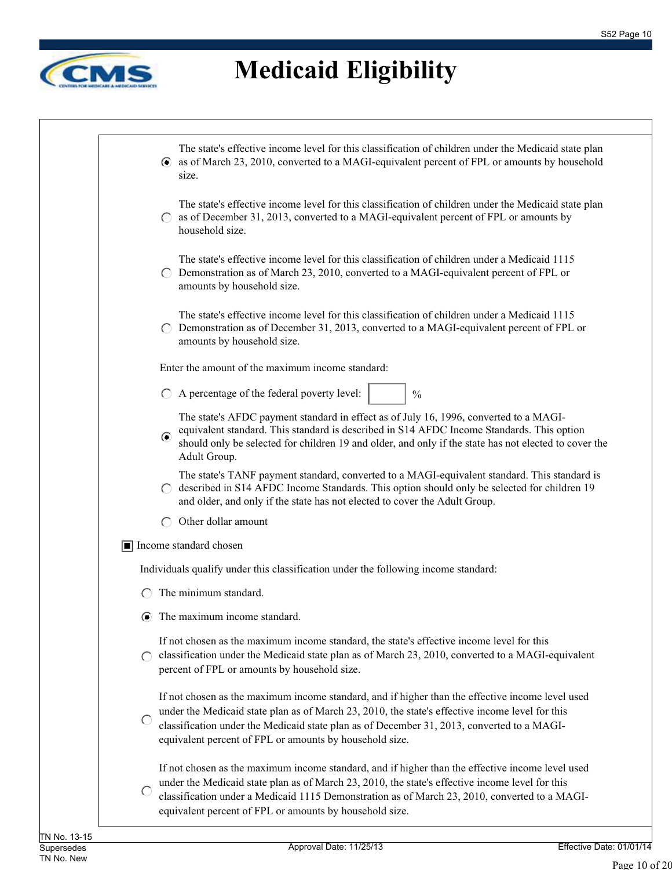

| The state's effective income level for this classification of children under the Medicaid state plan<br>• as of March 23, 2010, converted to a MAGI-equivalent percent of FPL or amounts by household<br>size.                                                                                                                                               |
|--------------------------------------------------------------------------------------------------------------------------------------------------------------------------------------------------------------------------------------------------------------------------------------------------------------------------------------------------------------|
|                                                                                                                                                                                                                                                                                                                                                              |
| The state's effective income level for this classification of children under the Medicaid state plan<br>as of December 31, 2013, converted to a MAGI-equivalent percent of FPL or amounts by<br>household size.                                                                                                                                              |
| The state's effective income level for this classification of children under a Medicaid 1115<br>Demonstration as of March 23, 2010, converted to a MAGI-equivalent percent of FPL or<br>amounts by household size.                                                                                                                                           |
| The state's effective income level for this classification of children under a Medicaid 1115<br>Demonstration as of December 31, 2013, converted to a MAGI-equivalent percent of FPL or<br>amounts by household size.                                                                                                                                        |
| Enter the amount of the maximum income standard:                                                                                                                                                                                                                                                                                                             |
| A percentage of the federal poverty level:<br>$\frac{0}{0}$                                                                                                                                                                                                                                                                                                  |
| The state's AFDC payment standard in effect as of July 16, 1996, converted to a MAGI-<br>equivalent standard. This standard is described in S14 AFDC Income Standards. This option<br>$\odot$<br>should only be selected for children 19 and older, and only if the state has not elected to cover the<br>Adult Group.                                       |
| The state's TANF payment standard, converted to a MAGI-equivalent standard. This standard is<br>described in S14 AFDC Income Standards. This option should only be selected for children 19<br>and older, and only if the state has not elected to cover the Adult Group.                                                                                    |
| Other dollar amount                                                                                                                                                                                                                                                                                                                                          |
| Income standard chosen                                                                                                                                                                                                                                                                                                                                       |
| Individuals qualify under this classification under the following income standard:                                                                                                                                                                                                                                                                           |
| The minimum standard.                                                                                                                                                                                                                                                                                                                                        |
| The maximum income standard.                                                                                                                                                                                                                                                                                                                                 |
| If not chosen as the maximum income standard, the state's effective income level for this<br>classification under the Medicaid state plan as of March 23, 2010, converted to a MAGI-equivalent<br>percent of FPL or amounts by household size.                                                                                                               |
| If not chosen as the maximum income standard, and if higher than the effective income level used<br>under the Medicaid state plan as of March 23, 2010, the state's effective income level for this<br>classification under the Medicaid state plan as of December 31, 2013, converted to a MAGI-<br>equivalent percent of FPL or amounts by household size. |
| If not chosen as the maximum income standard, and if higher than the effective income level used<br>under the Medicaid state plan as of March 23, 2010, the state's effective income level for this<br>classification under a Medicaid 1115 Demonstration as of March 23, 2010, converted to a MAGI-                                                         |
|                                                                                                                                                                                                                                                                                                                                                              |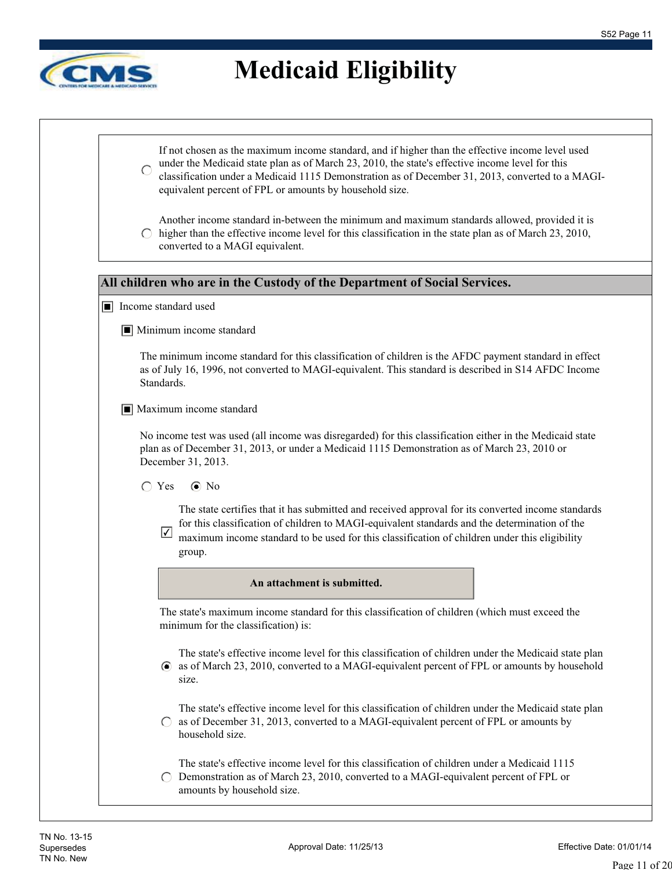$\overline{\phantom{a}}$ 



 $\sqrt{ }$ 

|                                | If not chosen as the maximum income standard, and if higher than the effective income level used<br>under the Medicaid state plan as of March 23, 2010, the state's effective income level for this<br>classification under a Medicaid 1115 Demonstration as of December 31, 2013, converted to a MAGI-<br>equivalent percent of FPL or amounts by household size. |
|--------------------------------|--------------------------------------------------------------------------------------------------------------------------------------------------------------------------------------------------------------------------------------------------------------------------------------------------------------------------------------------------------------------|
| $\bigcirc$                     | Another income standard in-between the minimum and maximum standards allowed, provided it is<br>higher than the effective income level for this classification in the state plan as of March 23, 2010,<br>converted to a MAGI equivalent.                                                                                                                          |
|                                | All children who are in the Custody of the Department of Social Services.                                                                                                                                                                                                                                                                                          |
| Income standard used           |                                                                                                                                                                                                                                                                                                                                                                    |
|                                | $\blacksquare$ Minimum income standard                                                                                                                                                                                                                                                                                                                             |
| Standards.                     | The minimum income standard for this classification of children is the AFDC payment standard in effect<br>as of July 16, 1996, not converted to MAGI-equivalent. This standard is described in S14 AFDC Income                                                                                                                                                     |
|                                | $\blacksquare$ Maximum income standard                                                                                                                                                                                                                                                                                                                             |
|                                | No income test was used (all income was disregarded) for this classification either in the Medicaid state<br>plan as of December 31, 2013, or under a Medicaid 1115 Demonstration as of March 23, 2010 or<br>December 31, 2013.                                                                                                                                    |
| $\bigcirc$ Yes                 | $\odot$ No                                                                                                                                                                                                                                                                                                                                                         |
| $\vert\blacktriangledown\vert$ | The state certifies that it has submitted and received approval for its converted income standards<br>for this classification of children to MAGI-equivalent standards and the determination of the<br>maximum income standard to be used for this classification of children under this eligibility<br>group.                                                     |
|                                | An attachment is submitted.                                                                                                                                                                                                                                                                                                                                        |
|                                | The state's maximum income standard for this classification of children (which must exceed the<br>minimum for the classification) is:                                                                                                                                                                                                                              |
|                                | The state's effective income level for this classification of children under the Medicaid state plan<br>• as of March 23, 2010, converted to a MAGI-equivalent percent of FPL or amounts by household<br>size.                                                                                                                                                     |
|                                | The state's effective income level for this classification of children under the Medicaid state plan<br>as of December 31, 2013, converted to a MAGI-equivalent percent of FPL or amounts by<br>household size.                                                                                                                                                    |
|                                | The state's effective income level for this classification of children under a Medicaid 1115                                                                                                                                                                                                                                                                       |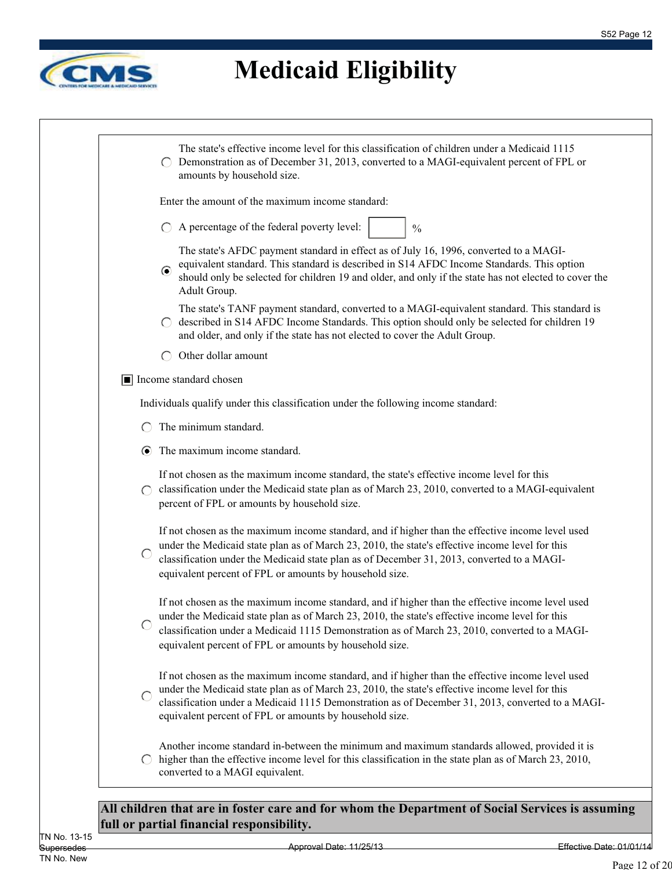$\overline{\phantom{a}}$ 



|                        | The state's effective income level for this classification of children under a Medicaid 1115<br>Demonstration as of December 31, 2013, converted to a MAGI-equivalent percent of FPL or<br>amounts by household size.                                                                                                                                              |
|------------------------|--------------------------------------------------------------------------------------------------------------------------------------------------------------------------------------------------------------------------------------------------------------------------------------------------------------------------------------------------------------------|
|                        | Enter the amount of the maximum income standard:                                                                                                                                                                                                                                                                                                                   |
|                        | A percentage of the federal poverty level:<br>$\frac{0}{0}$                                                                                                                                                                                                                                                                                                        |
|                        | The state's AFDC payment standard in effect as of July 16, 1996, converted to a MAGI-<br>equivalent standard. This standard is described in S14 AFDC Income Standards. This option<br>$\odot$<br>should only be selected for children 19 and older, and only if the state has not elected to cover the<br>Adult Group.                                             |
|                        | The state's TANF payment standard, converted to a MAGI-equivalent standard. This standard is<br>described in S14 AFDC Income Standards. This option should only be selected for children 19<br>and older, and only if the state has not elected to cover the Adult Group.                                                                                          |
|                        | Other dollar amount                                                                                                                                                                                                                                                                                                                                                |
|                        | Income standard chosen                                                                                                                                                                                                                                                                                                                                             |
|                        | Individuals qualify under this classification under the following income standard:                                                                                                                                                                                                                                                                                 |
|                        | The minimum standard.                                                                                                                                                                                                                                                                                                                                              |
| $\bullet$              | The maximum income standard.                                                                                                                                                                                                                                                                                                                                       |
| $\bigcap$              | If not chosen as the maximum income standard, the state's effective income level for this<br>classification under the Medicaid state plan as of March 23, 2010, converted to a MAGI-equivalent<br>percent of FPL or amounts by household size.                                                                                                                     |
| O                      | If not chosen as the maximum income standard, and if higher than the effective income level used<br>under the Medicaid state plan as of March 23, 2010, the state's effective income level for this<br>classification under the Medicaid state plan as of December 31, 2013, converted to a MAGI-<br>equivalent percent of FPL or amounts by household size.       |
|                        | If not chosen as the maximum income standard, and if higher than the effective income level used<br>under the Medicaid state plan as of March 23, 2010, the state's effective income level for this<br>classification under a Medicaid 1115 Demonstration as of March 23, 2010, converted to a MAGI-<br>equivalent percent of FPL or amounts by household size.    |
| $\bigcap$              | If not chosen as the maximum income standard, and if higher than the effective income level used<br>under the Medicaid state plan as of March 23, 2010, the state's effective income level for this<br>classification under a Medicaid 1115 Demonstration as of December 31, 2013, converted to a MAGI-<br>equivalent percent of FPL or amounts by household size. |
| $\left( \quad \right)$ | Another income standard in-between the minimum and maximum standards allowed, provided it is<br>higher than the effective income level for this classification in the state plan as of March 23, 2010,<br>converted to a MAGI equivalent.                                                                                                                          |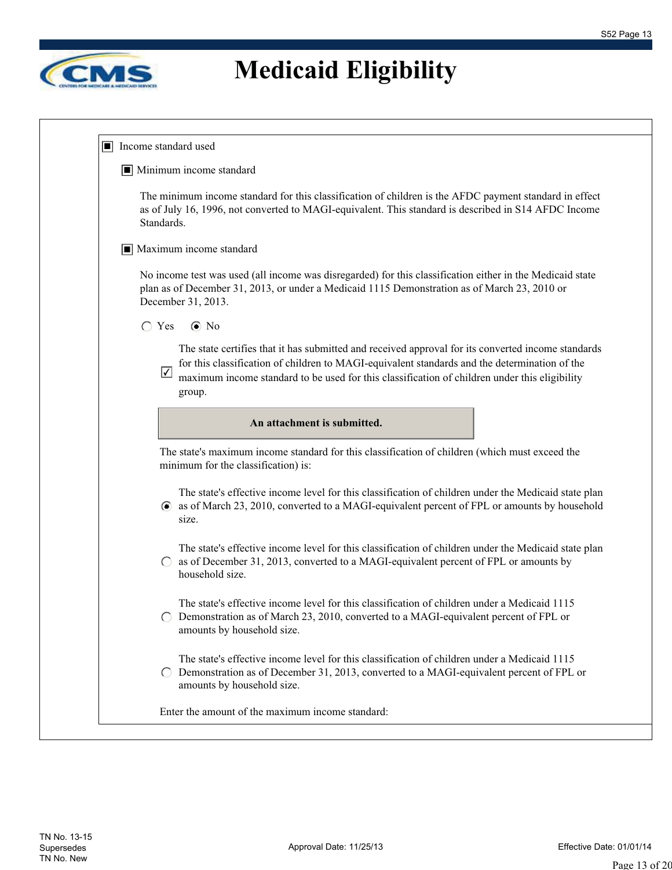

| IЦ |                                                                                                                                                                                                                                                                                                                             |
|----|-----------------------------------------------------------------------------------------------------------------------------------------------------------------------------------------------------------------------------------------------------------------------------------------------------------------------------|
|    | Income standard used                                                                                                                                                                                                                                                                                                        |
|    | $\blacksquare$ Minimum income standard                                                                                                                                                                                                                                                                                      |
|    | The minimum income standard for this classification of children is the AFDC payment standard in effect<br>as of July 16, 1996, not converted to MAGI-equivalent. This standard is described in S14 AFDC Income<br>Standards.                                                                                                |
|    | $\blacksquare$ Maximum income standard                                                                                                                                                                                                                                                                                      |
|    | No income test was used (all income was disregarded) for this classification either in the Medicaid state<br>plan as of December 31, 2013, or under a Medicaid 1115 Demonstration as of March 23, 2010 or<br>December 31, 2013.                                                                                             |
|    | $\bigcirc$ Yes<br>$\odot$ No                                                                                                                                                                                                                                                                                                |
|    | The state certifies that it has submitted and received approval for its converted income standards<br>for this classification of children to MAGI-equivalent standards and the determination of the<br>$\sqrt{}$<br>maximum income standard to be used for this classification of children under this eligibility<br>group. |
|    | An attachment is submitted.                                                                                                                                                                                                                                                                                                 |
|    | The state's maximum income standard for this classification of children (which must exceed the<br>minimum for the classification) is:                                                                                                                                                                                       |
|    | The state's effective income level for this classification of children under the Medicaid state plan                                                                                                                                                                                                                        |
|    | as of March 23, 2010, converted to a MAGI-equivalent percent of FPL or amounts by household<br>$\left( \bullet \right)$<br>size.                                                                                                                                                                                            |
|    | The state's effective income level for this classification of children under the Medicaid state plan<br>as of December 31, 2013, converted to a MAGI-equivalent percent of FPL or amounts by<br>household size.                                                                                                             |
|    | The state's effective income level for this classification of children under a Medicaid 1115<br>Demonstration as of March 23, 2010, converted to a MAGI-equivalent percent of FPL or<br>$\left( \quad \right)$<br>amounts by household size.                                                                                |
|    | The state's effective income level for this classification of children under a Medicaid 1115<br>Demonstration as of December 31, 2013, converted to a MAGI-equivalent percent of FPL or<br>amounts by household size.                                                                                                       |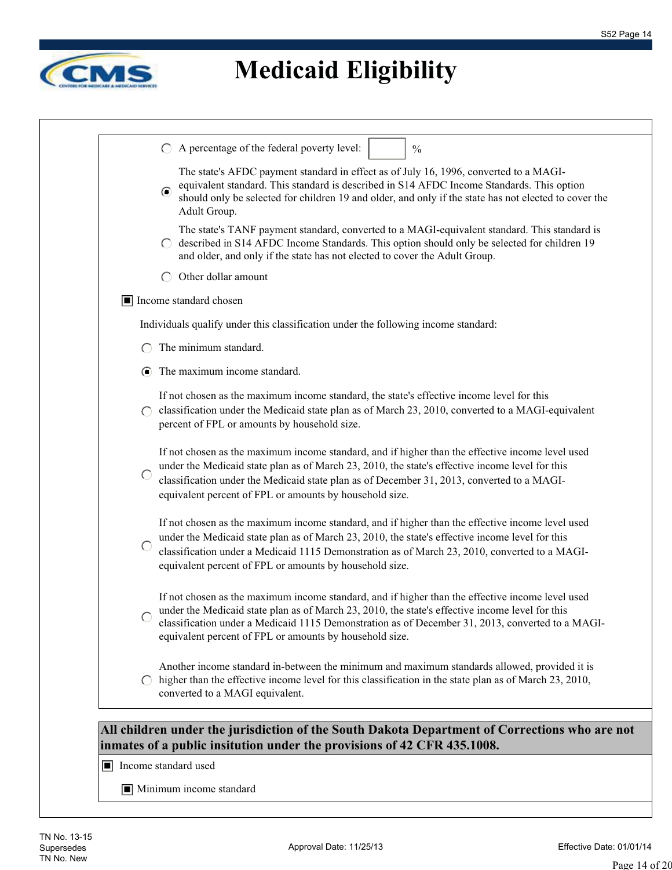

|            | A percentage of the federal poverty level:<br>$\frac{0}{0}$                                                                                                                                                                                                                                                                                                        |
|------------|--------------------------------------------------------------------------------------------------------------------------------------------------------------------------------------------------------------------------------------------------------------------------------------------------------------------------------------------------------------------|
|            | The state's AFDC payment standard in effect as of July 16, 1996, converted to a MAGI-<br>equivalent standard. This standard is described in S14 AFDC Income Standards. This option<br>$\odot$<br>should only be selected for children 19 and older, and only if the state has not elected to cover the<br>Adult Group.                                             |
|            | The state's TANF payment standard, converted to a MAGI-equivalent standard. This standard is<br>described in S14 AFDC Income Standards. This option should only be selected for children 19<br>and older, and only if the state has not elected to cover the Adult Group.                                                                                          |
|            | Other dollar amount<br>$\left( \begin{array}{c} \end{array} \right)$                                                                                                                                                                                                                                                                                               |
|            | Income standard chosen                                                                                                                                                                                                                                                                                                                                             |
|            | Individuals qualify under this classification under the following income standard:                                                                                                                                                                                                                                                                                 |
|            | The minimum standard.                                                                                                                                                                                                                                                                                                                                              |
| $\bullet$  | The maximum income standard.                                                                                                                                                                                                                                                                                                                                       |
|            | If not chosen as the maximum income standard, the state's effective income level for this<br>classification under the Medicaid state plan as of March 23, 2010, converted to a MAGI-equivalent<br>percent of FPL or amounts by household size.                                                                                                                     |
| $\bigcirc$ | If not chosen as the maximum income standard, and if higher than the effective income level used<br>under the Medicaid state plan as of March 23, 2010, the state's effective income level for this<br>classification under the Medicaid state plan as of December 31, 2013, converted to a MAGI-<br>equivalent percent of FPL or amounts by household size.       |
| C          | If not chosen as the maximum income standard, and if higher than the effective income level used<br>under the Medicaid state plan as of March 23, 2010, the state's effective income level for this<br>classification under a Medicaid 1115 Demonstration as of March 23, 2010, converted to a MAGI-<br>equivalent percent of FPL or amounts by household size.    |
|            | If not chosen as the maximum income standard, and if higher than the effective income level used<br>under the Medicaid state plan as of March 23, 2010, the state's effective income level for this<br>classification under a Medicaid 1115 Demonstration as of December 31, 2013, converted to a MAGI-<br>equivalent percent of FPL or amounts by household size. |
|            | Another income standard in-between the minimum and maximum standards allowed, provided it is<br>higher than the effective income level for this classification in the state plan as of March 23, 2010,                                                                                                                                                             |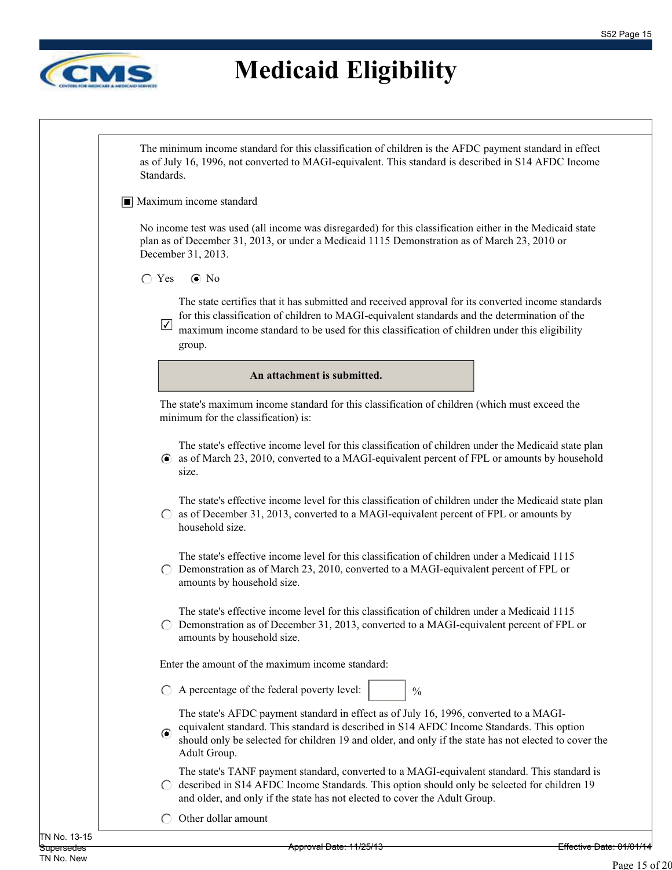

The minimum income standard for this classification of children is the AFDC payment standard in effect as of July 16, 1996, not converted to MAGI-equivalent. This standard is described in S14 AFDC Income Standards.

#### ■ Maximum income standard

No income test was used (all income was disregarded) for this classification either in the Medicaid state plan as of December 31, 2013, or under a Medicaid 1115 Demonstration as of March 23, 2010 or December 31, 2013.

#### $\bigcap$  Yes  $\bigcirc$  No

The state certifies that it has submitted and received approval for its converted income standards for this classification of children to MAGI-equivalent standards and the determination of the

maximum income standard to be used for this classification of children under this eligibility group. ✔

**An attachment is submitted.**

The state's maximum income standard for this classification of children (which must exceed the minimum for the classification) is:

The state's effective income level for this classification of children under the Medicaid state plan as of March 23, 2010, converted to a MAGI-equivalent percent of FPL or amounts by household size.

The state's effective income level for this classification of children under the Medicaid state plan  $\circ$  as of December 31, 2013, converted to a MAGI-equivalent percent of FPL or amounts by household size.

The state's effective income level for this classification of children under a Medicaid 1115  $\bigcirc$  Demonstration as of March 23, 2010, converted to a MAGI-equivalent percent of FPL or amounts by household size.

The state's effective income level for this classification of children under a Medicaid 1115  $\circ$  Demonstration as of December 31, 2013, converted to a MAGI-equivalent percent of FPL or amounts by household size.

Enter the amount of the maximum income standard:

 $\bigcirc$  A percentage of the federal poverty level:

The state's AFDC payment standard in effect as of July 16, 1996, converted to a MAGIequivalent standard. This standard is described in S14 AFDC Income Standards. This option

 $\odot$ should only be selected for children 19 and older, and only if the state has not elected to cover the Adult Group.

 $\frac{0}{0}$ 

The state's TANF payment standard, converted to a MAGI-equivalent standard. This standard is  $\bigcirc$  described in S14 AFDC Income Standards. This option should only be selected for children 19 and older, and only if the state has not elected to cover the Adult Group.

 $\bigcap$  Other dollar amount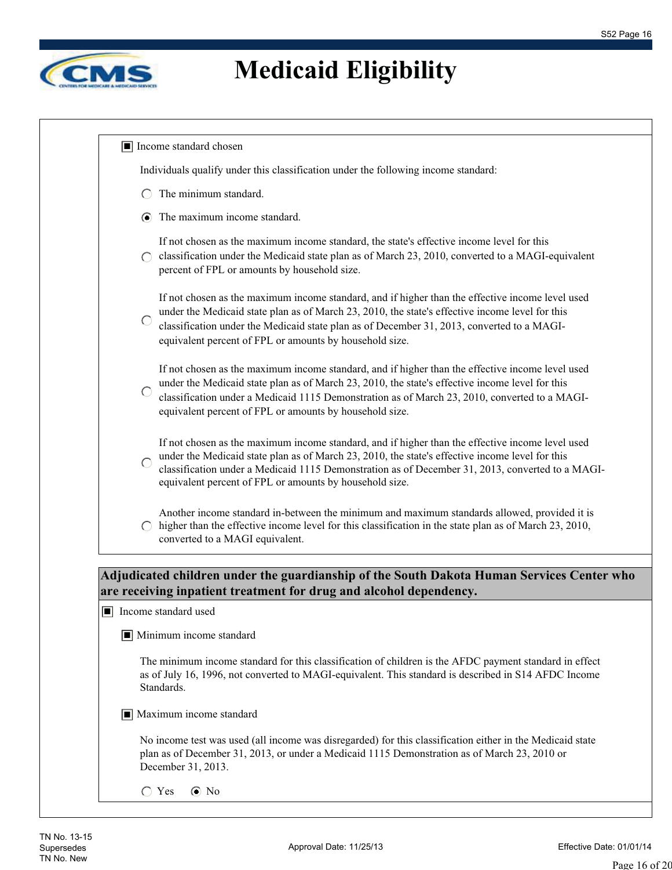٦



| Individuals qualify under this classification under the following income standard:                                                                                                                                                                                                                                                                                 |
|--------------------------------------------------------------------------------------------------------------------------------------------------------------------------------------------------------------------------------------------------------------------------------------------------------------------------------------------------------------------|
| The minimum standard.                                                                                                                                                                                                                                                                                                                                              |
| $\odot$ The maximum income standard.                                                                                                                                                                                                                                                                                                                               |
| If not chosen as the maximum income standard, the state's effective income level for this<br>classification under the Medicaid state plan as of March 23, 2010, converted to a MAGI-equivalent<br>percent of FPL or amounts by household size.                                                                                                                     |
| If not chosen as the maximum income standard, and if higher than the effective income level used<br>under the Medicaid state plan as of March 23, 2010, the state's effective income level for this<br>classification under the Medicaid state plan as of December 31, 2013, converted to a MAGI-<br>equivalent percent of FPL or amounts by household size.       |
| If not chosen as the maximum income standard, and if higher than the effective income level used<br>under the Medicaid state plan as of March 23, 2010, the state's effective income level for this<br>classification under a Medicaid 1115 Demonstration as of March 23, 2010, converted to a MAGI-<br>equivalent percent of FPL or amounts by household size.    |
| If not chosen as the maximum income standard, and if higher than the effective income level used<br>under the Medicaid state plan as of March 23, 2010, the state's effective income level for this<br>classification under a Medicaid 1115 Demonstration as of December 31, 2013, converted to a MAGI-<br>equivalent percent of FPL or amounts by household size. |
| Another income standard in-between the minimum and maximum standards allowed, provided it is<br>higher than the effective income level for this classification in the state plan as of March 23, 2010,<br>converted to a MAGI equivalent.                                                                                                                          |
| Adjudicated children under the guardianship of the South Dakota Human Services Center who<br>are receiving inpatient treatment for drug and alcohol dependency.<br>$\boxed{\blacksquare}$ Income standard used                                                                                                                                                     |
| $\blacksquare$ Minimum income standard                                                                                                                                                                                                                                                                                                                             |
| The minimum income standard for this classification of children is the AFDC payment standard in effect<br>as of July 16, 1996, not converted to MAGI-equivalent. This standard is described in S14 AFDC Income<br>Standards.                                                                                                                                       |
| $\blacksquare$ Maximum income standard                                                                                                                                                                                                                                                                                                                             |
| No income test was used (all income was disregarded) for this classification either in the Medicaid state                                                                                                                                                                                                                                                          |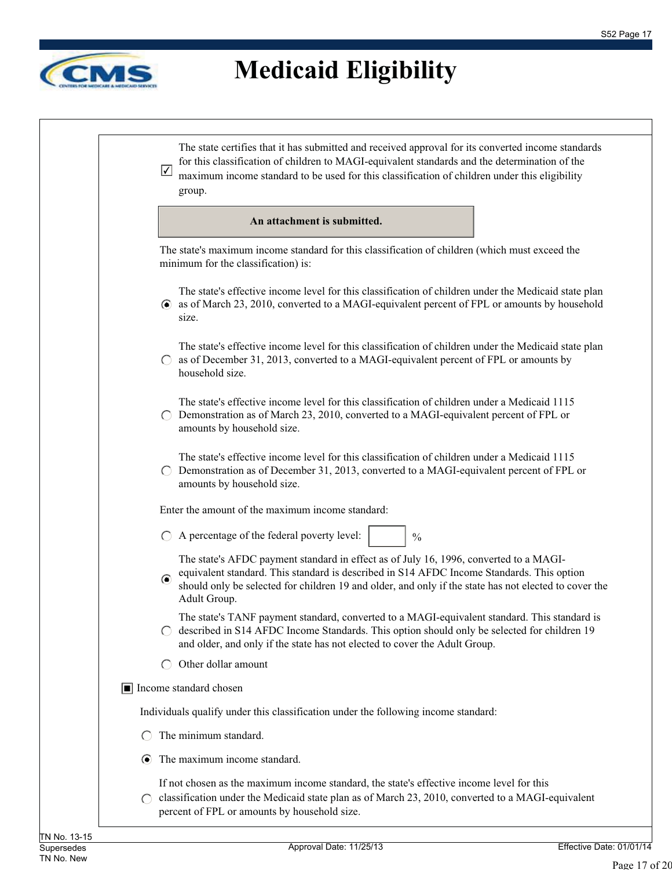

| $\sqrt{}$                                     | The state certifies that it has submitted and received approval for its converted income standards<br>for this classification of children to MAGI-equivalent standards and the determination of the<br>maximum income standard to be used for this classification of children under this eligibility<br>group. |
|-----------------------------------------------|----------------------------------------------------------------------------------------------------------------------------------------------------------------------------------------------------------------------------------------------------------------------------------------------------------------|
|                                               | An attachment is submitted.                                                                                                                                                                                                                                                                                    |
|                                               | The state's maximum income standard for this classification of children (which must exceed the<br>minimum for the classification) is:                                                                                                                                                                          |
| $\left( \bullet \right)$                      | The state's effective income level for this classification of children under the Medicaid state plan<br>as of March 23, 2010, converted to a MAGI-equivalent percent of FPL or amounts by household<br>size.                                                                                                   |
| $\left( \begin{array}{c} \end{array} \right)$ | The state's effective income level for this classification of children under the Medicaid state plan<br>as of December 31, 2013, converted to a MAGI-equivalent percent of FPL or amounts by<br>household size.                                                                                                |
|                                               | The state's effective income level for this classification of children under a Medicaid 1115<br>Demonstration as of March 23, 2010, converted to a MAGI-equivalent percent of FPL or<br>amounts by household size.                                                                                             |
|                                               | The state's effective income level for this classification of children under a Medicaid 1115<br>Demonstration as of December 31, 2013, converted to a MAGI-equivalent percent of FPL or<br>amounts by household size.                                                                                          |
|                                               | Enter the amount of the maximum income standard:                                                                                                                                                                                                                                                               |
|                                               | A percentage of the federal poverty level:<br>$\frac{0}{0}$                                                                                                                                                                                                                                                    |
| $\odot$                                       | The state's AFDC payment standard in effect as of July 16, 1996, converted to a MAGI-<br>equivalent standard. This standard is described in S14 AFDC Income Standards. This option<br>should only be selected for children 19 and older, and only if the state has not elected to cover the<br>Adult Group.    |
|                                               | The state's TANF payment standard, converted to a MAGI-equivalent standard. This standard is<br>described in S14 AFDC Income Standards. This option should only be selected for children 19<br>and older, and only if the state has not elected to cover the Adult Group.                                      |
| $\left( \begin{array}{c} \end{array} \right)$ | Other dollar amount                                                                                                                                                                                                                                                                                            |
|                                               | $\boxed{\blacksquare}$ Income standard chosen                                                                                                                                                                                                                                                                  |
|                                               | Individuals qualify under this classification under the following income standard:                                                                                                                                                                                                                             |
|                                               | The minimum standard.                                                                                                                                                                                                                                                                                          |
|                                               | The maximum income standard.                                                                                                                                                                                                                                                                                   |
|                                               | If not chosen as the maximum income standard, the state's effective income level for this<br>classification under the Medicaid state plan as of March 23, 2010, converted to a MAGI-equivalent<br>percent of FPL or amounts by household size.                                                                 |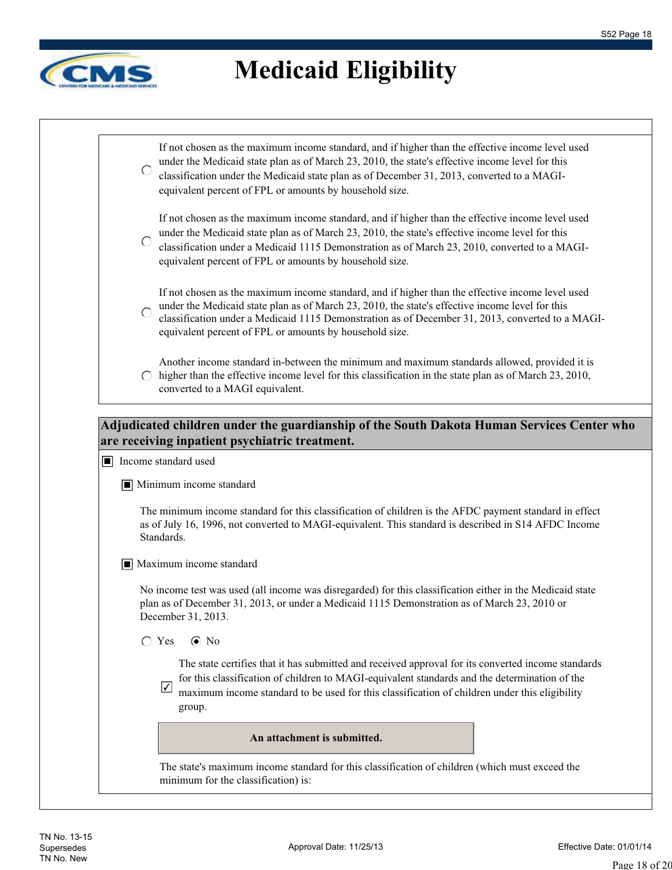

|            | $\sqrt{}$<br>maximum income standard to be used for this classification of children under this eligibility<br>group.                                                                                                                                                                                                                                               |
|------------|--------------------------------------------------------------------------------------------------------------------------------------------------------------------------------------------------------------------------------------------------------------------------------------------------------------------------------------------------------------------|
|            | The state certifies that it has submitted and received approval for its converted income standards<br>for this classification of children to MAGI-equivalent standards and the determination of the                                                                                                                                                                |
|            | $\bigcirc$ Yes<br>$\odot$ No                                                                                                                                                                                                                                                                                                                                       |
|            | No income test was used (all income was disregarded) for this classification either in the Medicaid state<br>plan as of December 31, 2013, or under a Medicaid 1115 Demonstration as of March 23, 2010 or<br>December 31, 2013.                                                                                                                                    |
|            | $\blacksquare$ Maximum income standard                                                                                                                                                                                                                                                                                                                             |
|            | The minimum income standard for this classification of children is the AFDC payment standard in effect<br>as of July 16, 1996, not converted to MAGI-equivalent. This standard is described in S14 AFDC Income<br>Standards.                                                                                                                                       |
|            | $\blacksquare$ Minimum income standard                                                                                                                                                                                                                                                                                                                             |
|            | are receiving inpatient psychiatric treatment.<br>$\blacksquare$ Income standard used                                                                                                                                                                                                                                                                              |
|            | Adjudicated children under the guardianship of the South Dakota Human Services Center who                                                                                                                                                                                                                                                                          |
|            | Another income standard in-between the minimum and maximum standards allowed, provided it is<br>$\circ$ higher than the effective income level for this classification in the state plan as of March 23, 2010,<br>converted to a MAGI equivalent.                                                                                                                  |
|            | If not chosen as the maximum income standard, and if higher than the effective income level used<br>under the Medicaid state plan as of March 23, 2010, the state's effective income level for this<br>classification under a Medicaid 1115 Demonstration as of December 31, 2013, converted to a MAGI-<br>equivalent percent of FPL or amounts by household size. |
| $\subset$  | If not chosen as the maximum income standard, and if higher than the effective income level used<br>under the Medicaid state plan as of March 23, 2010, the state's effective income level for this<br>classification under a Medicaid 1115 Demonstration as of March 23, 2010, converted to a MAGI-<br>equivalent percent of FPL or amounts by household size.    |
| $\bigcirc$ | If not chosen as the maximum income standard, and if higher than the effective income level used<br>under the Medicaid state plan as of March 23, 2010, the state's effective income level for this<br>classification under the Medicaid state plan as of December 31, 2013, converted to a MAGI-<br>equivalent percent of FPL or amounts by household size.       |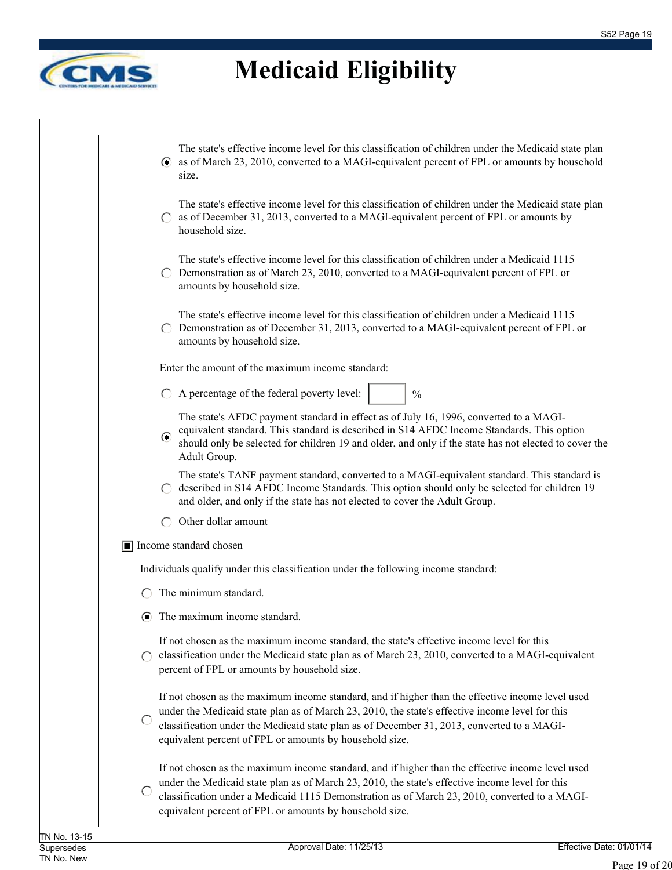

| The state's effective income level for this classification of children under the Medicaid state plan<br>• as of March 23, 2010, converted to a MAGI-equivalent percent of FPL or amounts by household<br>size.                                                                                                                                                  |
|-----------------------------------------------------------------------------------------------------------------------------------------------------------------------------------------------------------------------------------------------------------------------------------------------------------------------------------------------------------------|
|                                                                                                                                                                                                                                                                                                                                                                 |
| The state's effective income level for this classification of children under the Medicaid state plan<br>as of December 31, 2013, converted to a MAGI-equivalent percent of FPL or amounts by<br>household size.                                                                                                                                                 |
| The state's effective income level for this classification of children under a Medicaid 1115<br>Demonstration as of March 23, 2010, converted to a MAGI-equivalent percent of FPL or<br>amounts by household size.                                                                                                                                              |
| The state's effective income level for this classification of children under a Medicaid 1115<br>Demonstration as of December 31, 2013, converted to a MAGI-equivalent percent of FPL or<br>amounts by household size.                                                                                                                                           |
| Enter the amount of the maximum income standard:                                                                                                                                                                                                                                                                                                                |
| A percentage of the federal poverty level:<br>$\frac{0}{0}$                                                                                                                                                                                                                                                                                                     |
| The state's AFDC payment standard in effect as of July 16, 1996, converted to a MAGI-<br>equivalent standard. This standard is described in S14 AFDC Income Standards. This option<br>$\bullet$<br>should only be selected for children 19 and older, and only if the state has not elected to cover the<br>Adult Group.                                        |
| The state's TANF payment standard, converted to a MAGI-equivalent standard. This standard is<br>described in S14 AFDC Income Standards. This option should only be selected for children 19<br>and older, and only if the state has not elected to cover the Adult Group.                                                                                       |
| Other dollar amount                                                                                                                                                                                                                                                                                                                                             |
| Income standard chosen                                                                                                                                                                                                                                                                                                                                          |
| Individuals qualify under this classification under the following income standard:                                                                                                                                                                                                                                                                              |
| The minimum standard.                                                                                                                                                                                                                                                                                                                                           |
| The maximum income standard.                                                                                                                                                                                                                                                                                                                                    |
| If not chosen as the maximum income standard, the state's effective income level for this<br>classification under the Medicaid state plan as of March 23, 2010, converted to a MAGI-equivalent<br>percent of FPL or amounts by household size.                                                                                                                  |
| If not chosen as the maximum income standard, and if higher than the effective income level used<br>under the Medicaid state plan as of March 23, 2010, the state's effective income level for this<br>classification under the Medicaid state plan as of December 31, 2013, converted to a MAGI-<br>equivalent percent of FPL or amounts by household size.    |
| If not chosen as the maximum income standard, and if higher than the effective income level used<br>under the Medicaid state plan as of March 23, 2010, the state's effective income level for this<br>classification under a Medicaid 1115 Demonstration as of March 23, 2010, converted to a MAGI-<br>equivalent percent of FPL or amounts by household size. |
|                                                                                                                                                                                                                                                                                                                                                                 |